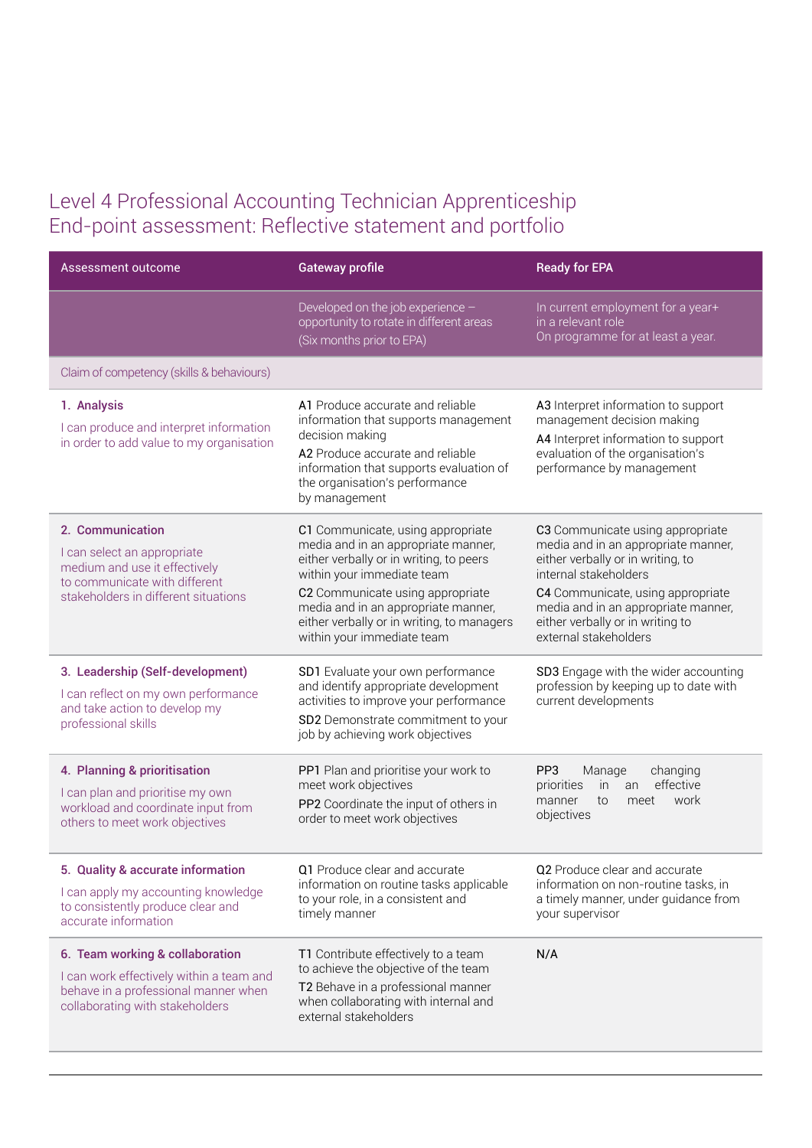## Level 4 Professional Accounting Technician Apprenticeship End-point assessment: Reflective statement and portfolio

| Assessment outcome                                                                                                                                        | <b>Gateway profile</b>                                                                                                                                                                                                                                                                                   | <b>Ready for EPA</b>                                                                                                                                                                                                                                                           |
|-----------------------------------------------------------------------------------------------------------------------------------------------------------|----------------------------------------------------------------------------------------------------------------------------------------------------------------------------------------------------------------------------------------------------------------------------------------------------------|--------------------------------------------------------------------------------------------------------------------------------------------------------------------------------------------------------------------------------------------------------------------------------|
|                                                                                                                                                           | Developed on the job experience -<br>opportunity to rotate in different areas<br>(Six months prior to EPA)                                                                                                                                                                                               | In current employment for a year+<br>in a relevant role<br>On programme for at least a year.                                                                                                                                                                                   |
| Claim of competency (skills & behaviours)                                                                                                                 |                                                                                                                                                                                                                                                                                                          |                                                                                                                                                                                                                                                                                |
| 1. Analysis<br>I can produce and interpret information<br>in order to add value to my organisation                                                        | A1 Produce accurate and reliable<br>information that supports management<br>decision making<br>A2 Produce accurate and reliable<br>information that supports evaluation of<br>the organisation's performance<br>by management                                                                            | A3 Interpret information to support<br>management decision making<br>A4 Interpret information to support<br>evaluation of the organisation's<br>performance by management                                                                                                      |
| 2. Communication<br>I can select an appropriate<br>medium and use it effectively<br>to communicate with different<br>stakeholders in different situations | C1 Communicate, using appropriate<br>media and in an appropriate manner,<br>either verbally or in writing, to peers<br>within your immediate team<br>C2 Communicate using appropriate<br>media and in an appropriate manner,<br>either verbally or in writing, to managers<br>within your immediate team | C3 Communicate using appropriate<br>media and in an appropriate manner,<br>either verbally or in writing, to<br>internal stakeholders<br>C4 Communicate, using appropriate<br>media and in an appropriate manner,<br>either verbally or in writing to<br>external stakeholders |
| 3. Leadership (Self-development)<br>I can reflect on my own performance<br>and take action to develop my<br>professional skills                           | SD1 Evaluate your own performance<br>and identify appropriate development<br>activities to improve your performance<br>SD2 Demonstrate commitment to your<br>job by achieving work objectives                                                                                                            | SD3 Engage with the wider accounting<br>profession by keeping up to date with<br>current developments                                                                                                                                                                          |
| 4. Planning & prioritisation<br>I can plan and prioritise my own<br>workload and coordinate input from<br>others to meet work objectives                  | PP1 Plan and prioritise your work to<br>meet work objectives<br>PP2 Coordinate the input of others in<br>order to meet work objectives                                                                                                                                                                   | PP <sub>3</sub><br>changing<br>Manage<br>effective<br>priorities<br>in<br>an<br>work<br>meet<br>to<br>manner<br>objectives                                                                                                                                                     |
| 5. Quality & accurate information<br>I can apply my accounting knowledge<br>to consistently produce clear and<br>accurate information                     | Q1 Produce clear and accurate<br>information on routine tasks applicable<br>to your role, in a consistent and<br>timely manner                                                                                                                                                                           | Q2 Produce clear and accurate<br>information on non-routine tasks, in<br>a timely manner, under guidance from<br>your supervisor                                                                                                                                               |
| 6. Team working & collaboration<br>I can work effectively within a team and<br>behave in a professional manner when<br>collaborating with stakeholders    | T1 Contribute effectively to a team<br>to achieve the objective of the team<br>T2 Behave in a professional manner<br>when collaborating with internal and<br>external stakeholders                                                                                                                       | N/A                                                                                                                                                                                                                                                                            |